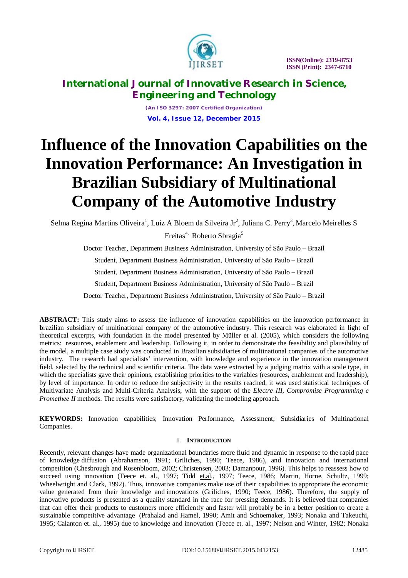

*(An ISO 3297: 2007 Certified Organization)* **Vol. 4, Issue 12, December 2015**

# **Influence of the Innovation Capabilities on the Innovation Performance: An Investigation in Brazilian Subsidiary of Multinational Company of the Automotive Industry**

Selma Regina Martins Oliveira<sup>1</sup>, Luiz A Bloem da Silveira Jr<sup>2</sup>, Juliana C. Perry<sup>3</sup>, Marcelo Meirelles S

Freitas<sup>4,</sup> Roberto Sbragia<sup>5</sup>

Doctor Teacher, Department Business Administration, University of São Paulo – Brazil

Student, Department Business Administration, University of São Paulo – Brazil

Student, Department Business Administration, University of São Paulo – Brazil

Student, Department Business Administration, University of São Paulo – Brazil

Doctor Teacher, Department Business Administration, University of São Paulo – Brazil

**ABSTRACT:** This study aims to assess the influence of **i**nnovation capabilities on the innovation performance in **b**razilian subsidiary of multinational company of the automotive industry. This research was elaborated in light of theoretical excerpts, with foundation in the model presented by Müller et al. (2005), which considers the following metrics: resources, enablement and leadership. Following it, in order to demonstrate the feasibility and plausibility of the model, a multiple case study was conducted in Brazilian subsidiaries of multinational companies of the automotive industry. The research had specialists' intervention, with knowledge and experience in the innovation management field, selected by the technical and scientific criteria. The data were extracted by a judging matrix with a scale type, in which the specialists gave their opinions, establishing priorities to the variables (resources, enablement and leadership), by level of importance. In order to reduce the subjectivity in the results reached, it was used statistical techniques of Multivariate Analysis and Multi-Criteria Analysis, with the support of the *Electre III, Compromise Programming e Promethee II* methods. The results were satisfactory, validating the modeling approach.

**KEYWORDS:** Innovation capabilities; Innovation Performance, Assessment; Subsidiaries of Multinational Companies.

### I. **INTRODUCTION**

Recently, relevant changes have made organizational boundaries more fluid and dynamic in response to the rapid pace of knowledge diffusion (Abrahamson, 1991; Griliches, 1990; Teece, 1986), and innovation and international competition (Chesbrough and Rosenbloom, 2002; Christensen, 2003; Damanpour, 1996). This helps to reassess how to succeed using innovation (Teece et. al., 1997; Tidd et.al., 1997; Teece, 1986; Martin, Horne, Schultz, 1999; Wheelwright and Clark, 1992). Thus, innovative companies make use of their capabilities to appropriate the economic value generated from their knowledge and innovations (Griliches, 1990; Teece, 1986). Therefore, the supply of innovative products is presented as a quality standard in the race for pressing demands. It is believed that companies that can offer their products to customers more efficiently and faster will probably be in a better position to create a sustainable competitive advantage (Prahalad and Hamel, 1990; Amit and Schoemaker, 1993; Nonaka and Takeuchi, 1995; Calanton et. al., 1995) due to knowledge and innovation (Teece et. al., 1997; Nelson and Winter, 1982; Nonaka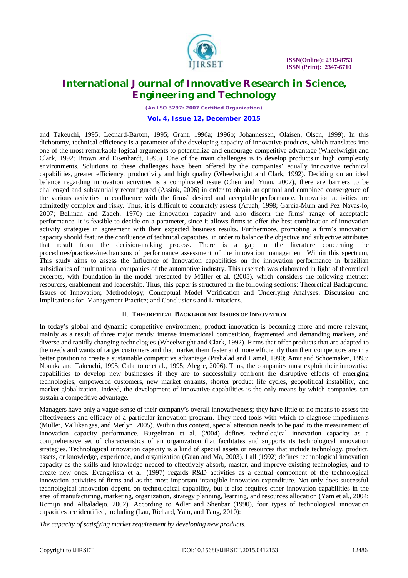

*(An ISO 3297: 2007 Certified Organization)* **Vol. 4, Issue 12, December 2015**

and Takeuchi, 1995; Leonard-Barton, 1995; Grant, 1996a; 1996b; Johannessen, Olaisen, Olsen, 1999). In this dichotomy, technical efficiency is a parameter of the developing capacity of innovative products, which translates into one of the most remarkable logical arguments to potentialize and encourage competitive advantage (Wheelwright and Clark, 1992; Brown and Eisenhardt, 1995). One of the main challenges is to develop products in high complexity environments. Solutions to these challenges have been offered by the companies' equally innovative technical capabilities, greater efficiency, productivity and high quality (Wheelwright and Clark, 1992). Deciding on an ideal balance regarding innovation activities is a complicated issue (Chen and Yuan, 2007), there are barriers to be challenged and substantially reconfigured (Assink, 2006) in order to obtain an optimal and combined convergence of the various activities in confluence with the firms' desired and acceptable performance. Innovation activities are admittedly complex and risky. Thus, it is difficult to accurately assess (Afuah, 1998; García-Muin and Pez Navas-lo, 2007; Bellman and Zadeh; 1970) the innovation capacity and also discern the firms' range of acceptable performance. It is feasible to decide on a parameter, since it allows firms to offer the best combination of innovation activity strategies in agreement with their expected business results. Furthermore, promoting a firm's innovation capacity should feature the confluence of technical capacities, in order to balance the objective and subjective attributes that result from the decision-making process. There is a gap in the literature concerning the procedures/practices/mechanisms of performance assessment of the innovation management. Within this spectrum, *T*his study aims to assess the Influence of Innovation capabilities on the innovation performance in **b**razilian subsidiaries of multinational companies of the automotive industry. This reserach was elaborated in light of theoretical excerpts, with foundation in the model presented by Müller et al. (2005), which considers the following metrics: resources, enablement and leadership. Thus, this paper is structured in the following sections: Theoretical Background: Issues of Innovation; Methodology; Conceptual Model Verification and Underlying Analyses; Discussion and Implications for Management Practice; and Conclusions and Limitations.

### II. **THEORETICAL BACKGROUND:ISSUES OF INNOVATION**

In today's global and dynamic competitive environment, product innovation is becoming more and more relevant, mainly as a result of three major trends: intense international competition, fragmented and demanding markets, and diverse and rapidly changing technologies (Wheelwright and Clark, 1992). Firms that offer products that are adapted to the needs and wants of target customers and that market them faster and more efficiently than their competitors are in a better position to create a sustainable competitive advantage (Prahalad and Hamel, 1990; Amit and Schoemaker, 1993; Nonaka and Takeuchi, 1995; Calantone et al., 1995; Alegre, 2006). Thus, the companies must exploit their innovative capabilities to develop new businesses if they are to successfully confront the disruptive effects of emerging technologies, empowered customers, new market entrants, shorter product life cycles, geopolitical instability, and market globalization. Indeed, the development of innovative capabilities is the only means by which companies can sustain a competitive advantage.

Managers have only a vague sense of their company's overall innovativeness; they have little or no means to assess the effectiveness and efficacy of a particular innovation program. They need tools with which to diagnose impediments (Muller, Va¨likangas, and Merlyn, 2005). Within this context, special attention needs to be paid to the measurement of innovation capacity performance. Burgelman et al. (2004) defines technological innovation capacity as a comprehensive set of characteristics of an organization that facilitates and supports its technological innovation strategies. Technological innovation capacity is a kind of special assets or resources that include technology, product, assets, or knowledge, experience, and organization (Guan and Ma, 2003). Lall (1992) defines technological innovation capacity as the skills and knowledge needed to effectively absorb, master, and improve existing technologies, and to create new ones. Evangelista et al. (1997) regards R&D activities as a central component of the technological innovation activities of firms and as the most important intangible innovation expenditure. Not only does successful technological innovation depend on technological capability, but it also requires other innovation capabilities in the area of manufacturing, marketing, organization, strategy planning, learning, and resources allocation (Yam et al., 2004; Romijn and Albaladejo, 2002). According to Adler and Shenbar (1990), four types of technological innovation capacities are identified, including (Lau, Richard, Yam, and Tang, 2010):

*The capacity of satisfying market requirement by developing new products.*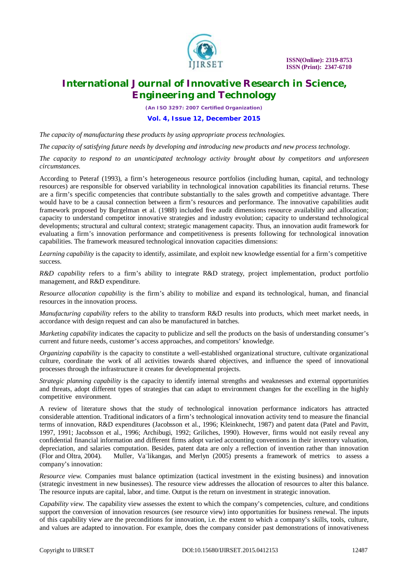

# **International Journal of Innovative Research in Science, Engineering and Technology**

*(An ISO 3297: 2007 Certified Organization)* **Vol. 4, Issue 12, December 2015**

*The capacity of manufacturing these products by using appropriate process technologies.*

*The capacity of satisfying future needs by developing and introducing new products and new process technology.*

*The capacity to respond to an unanticipated technology activity brought about by competitors and unforeseen circumstances.*

According to Peteraf (1993), a firm's heterogeneous resource portfolios (including human, capital, and technology resources) are responsible for observed variability in technological innovation capabilities its financial returns. These are a firm's specific competencies that contribute substantially to the sales growth and competitive advantage. There would have to be a causal connection between a firm's resources and performance. The innovative capabilities audit framework proposed by Burgelman et al. (1988) included five audit dimensions resource availability and allocation; capacity to understand competitor innovative strategies and industry evolution; capacity to understand technological developments; structural and cultural context; strategic management capacity. Thus, an innovation audit framework for evaluating a firm's innovation performance and competitiveness is presents following for technological innovation capabilities. The framework measured technological innovation capacities dimensions:

*Learning capability* is the capacity to identify, assimilate, and exploit new knowledge essential for a firm's competitive success.

*R&D capability* refers to a firm's ability to integrate R&D strategy, project implementation, product portfolio management, and R&D expenditure.

*Resource allocation capability* is the firm's ability to mobilize and expand its technological, human, and financial resources in the innovation process.

*Manufacturing capability* refers to the ability to transform R&D results into products, which meet market needs, in accordance with design request and can also be manufactured in batches.

*Marketing capability* indicates the capacity to publicize and sell the products on the basis of understanding consumer's current and future needs, customer's access approaches, and competitors' knowledge.

*Organizing capability* is the capacity to constitute a well-established organizational structure, cultivate organizational culture, coordinate the work of all activities towards shared objectives, and influence the speed of innovational processes through the infrastructure it creates for developmental projects.

*Strategic planning capability* is the capacity to identify internal strengths and weaknesses and external opportunities and threats, adopt different types of strategies that can adapt to environment changes for the excelling in the highly competitive environment.

A review of literature shows that the study of technological innovation performance indicators has attracted considerable attention. Traditional indicators of a firm's technological innovation activity tend to measure the financial terms of innovation, R&D expenditures (Jacobsson et al., 1996; Kleinknecht, 1987) and patent data (Patel and Pavitt, 1997, 1991; Jacobsson et al., 1996; Archibugi, 1992; Griliches, 1990). However, firms would not easily reveal any confidential financial information and different firms adopt varied accounting conventions in their inventory valuation, depreciation, and salaries computation. Besides, patent data are only a reflection of invention rather than innovation (Flor and Oltra, 2004). Muller, Va¨likangas, and Merlyn (2005) presents a framework of metrics to assess a company's innovation:

*Resource view.* Companies must balance optimization (tactical investment in the existing business) and innovation (strategic investment in new businesses). The resource view addresses the allocation of resources to alter this balance. The resource inputs are capital, labor, and time. Output is the return on investment in strategic innovation.

*Capability view.* The capability view assesses the extent to which the company's competencies, culture, and conditions support the conversion of innovation resources (see resource view) into opportunities for business renewal. The inputs of this capability view are the preconditions for innovation, i.e. the extent to which a company's skills, tools, culture, and values are adapted to innovation. For example, does the company consider past demonstrations of innovativeness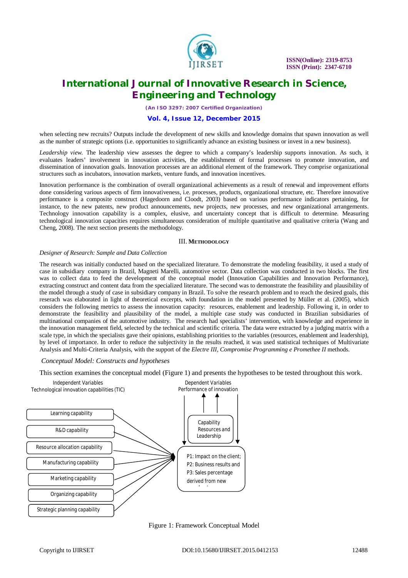

# **International Journal of Innovative Research in Science, Engineering and Technology**

*(An ISO 3297: 2007 Certified Organization)*

#### **Vol. 4, Issue 12, December 2015**

when selecting new recruits? Outputs include the development of new skills and knowledge domains that spawn innovation as well as the number of strategic options (i.e. opportunities to significantly advance an existing business or invest in a new business).

*Leadership view.* The leadership view assesses the degree to which a company's leadership supports innovation. As such, it evaluates leaders' involvement in innovation activities, the establishment of formal processes to promote innovation, and dissemination of innovation goals. Innovation processes are an additional element of the framework. They comprise organizational structures such as incubators, innovation markets, venture funds, and innovation incentives.

Innovation performance is the combination of overall organizational achievements as a result of renewal and improvement efforts done considering various aspects of firm innovativeness, i.e. processes, products, organizational structure, etc. Therefore innovative performance is a composite construct (Hagedoorn and Cloodt, 2003) based on various performance indicators pertaining, for instance, to the new patents, new product announcements, new projects, new processes, and new organizational arrangements. Technology innovation capability is a complex, elusive, and uncertainty concept that is difficult to determine. Measuring technological innovation capacities requires simultaneous consideration of multiple quantitative and qualitative criteria (Wang and Cheng, 2008). The next section presents the methodology.

#### III. **METHODOLOGY**

#### *Designer of Research: Sample and Data Collection*

The research was initially conducted based on the specialized literature. To demonstrate the modeling feasibility, it used a study of case in subsidiary company in Brazil, Magneti Marelli, automotive sector. Data collection was conducted in two blocks. The first was to collect data to feed the development of the conceptual model (Innovation Capabilities and Innovation Performance), extracting construct and content data from the specialized literature. The second was to demonstrate the feasibility and plausibility of the model through a study of case in subsidiary company in Brazil. To solve the research problem and to reach the desired goals, this reserach was elaborated in light of theoretical excerpts, with foundation in the model presented by Müller et al. (2005), which considers the following metrics to assess the innovation capacity: resources, enablement and leadership. Following it, in order to demonstrate the feasibility and plausibility of the model, a multiple case study was conducted in Brazilian subsidiaries of multinational companies of the automotive industry. The research had specialists' intervention, with knowledge and experience in the innovation management field, selected by the technical and scientific criteria. The data were extracted by a judging matrix with a scale type, in which the specialists gave their opinions, establishing priorities to the variables (resources, enablement and leadership), by level of importance. In order to reduce the subjectivity in the results reached, it was used statistical techniques of Multivariate Analysis and Multi-Criteria Analysis, with the support of the *Electre III, Compromise Programming e Promethee II* methods*.* 

#### *Conceptual Model: Constructs and hypotheses*

This section examines the conceptual model (Figure 1) and presents the hypotheses to be tested throughout this work.



Figure 1: Framework Conceptual Model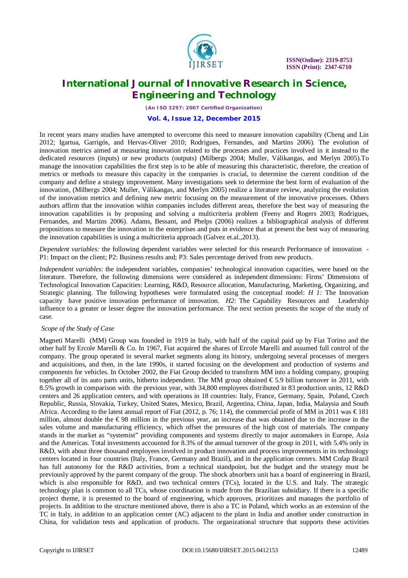

*(An ISO 3297: 2007 Certified Organization)* **Vol. 4, Issue 12, December 2015**

In recent years many studies have attempted to overcome this need to measure innovation capability (Cheng and Lin 2012; Igartua, Garrigós, and Hervas-Oliver 2010; Rodrigues, Fernandes, and Martins 2006). The evolution of innovation metrics aimed at measuring innovation related to the processes and practices involved in it instead to the dedicated resources (inputs) or new products (outputs) (Milbergs 2004; Muller, Válikangas, and Merlyn 2005).To manage the innovation capabilities the first step is to be able of measuring this characteristic, therefore, the creation of metrics or methods to measure this capacity in the companies is crucial, to determine the current condition of the company and define a strategy improvement. Many investigations seek to determine the best form of evaluation of the innovation, (Milbergs 2004; Muller, Válikangas, and Merlyn 2005) realize a literature review, analyzing the evolution of the innovation metrics and defining new metric focusing on the measurement of the innovative processes. Others authors affirm that the innovation within companies includes different areas, therefore the best way of measuring the innovation capabilities is by proposing and solving a multicriteria problem (Feeny and Rogers 2003; Rodrigues, Fernandes, and Martins 2006). Adams, Bessant, and Phelps (2006) realizes a bibliographical analysis of different propositions to measure the innovation in the enterprises and puts in evidence that at present the best way of measuring the innovation capabilities is using a multicriteria approach (Galvez et.al.,2013).

*Dependent variables:* the following dependent variables were selected for this research Performance of innovation - P1: Impact on the client; P2: Business results and; P3: Sales percentage derived from new products.

*Independent variables:* the independent variables, companies' technological innovation capacities, were based on the literature. Therefore, the following dimensions were considered as independent dimensions: Firms' Dimensions of Technological Innovation Capacities: Learning, R&D, Resource allocation, Manufacturing, Marketing, Organizing, and Strategic planning. The following hypotheses were formulated using the conceptual model: *H 1:* The Innovation capacity have positive innovation performance of innovation. *H2*: The Capability Resources and Leadership influence to a greater or lesser degree the innovation performance. The next section presents the scope of the study of case.

### *Scope of the Study of Case*

Magneti Marelli (MM) Group was founded in 1919 in Italy, with half of the capital paid up by Fiat Torino and the other half by Ercole Marelli & Co. In 1967, Fiat acquired the shares of Ercole Marelli and assumed full control of the company. The group operated in several market segments along its history, undergoing several processes of mergers and acquisitions, and then, in the late 1990s, it started focusing on the development and production of systems and components for vehicles. In October 2002, the Fiat Group decided to transform MM into a holding company, grouping together all of its auto parts units, hitherto independent. The MM group obtained €5.9 billion turnover in 2011, with 8.5% growth in comparison with the previous year, with 34,800 employees distributed in 83 production units, 12 R&D centers and 26 application centers, and with operations in 18 countries: Italy, France, Germany, Spain, Poland, Czech Republic, Russia, Slovakia, Turkey, United States, Mexico, Brazil, Argentina, China, Japan, India, Malaysia and South Africa. According to the latest annual report of Fiat (2012, p. 76; 114), the commercial profit of MM in 2011 was  $\in$ 181 million, almost double the  $\epsilon$ 98 million in the previous year, an increase that was obtained due to the increase in the sales volume and manufacturing efficiency, which offset the pressures of the high cost of materials. The company stands in the market as "systemist" providing components and systems directly to major automakers in Europe, Asia and the Americas. Total investments accounted for 8.3% of the annual turnover of the group in 2011, with 5.4% only in R&D, with about three thousand employees involved in product innovation and process improvements in its technology centers located in four countries (Italy, France, Germany and Brazil), and in the application centers. MM Cofap Brazil has full autonomy for the R&D activities, from a technical standpoint, but the budget and the strategy must be previously approved by the parent company of the group. The shock absorbers unit has a board of engineering in Brazil, which is also responsible for R&D, and two technical centers (TCs), located in the U.S. and Italy. The strategic technology plan is common to all TCs, whose coordination is made from the Brazilian subsidiary. If there is a specific project theme, it is presented to the board of engineering, which approves, prioritizes and manages the portfolio of projects. In addition to the structure mentioned above, there is also a TC in Poland, which works as an extension of the TC in Italy, in addition to an application center (AC) adjacent to the plant in India and another under construction in China, for validation tests and application of products. The organizational structure that supports these activities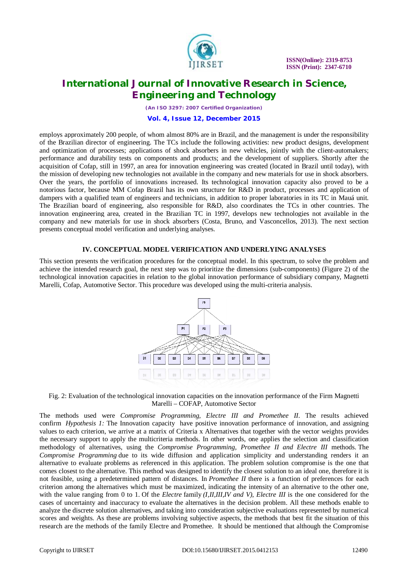

*(An ISO 3297: 2007 Certified Organization)* **Vol. 4, Issue 12, December 2015**

employs approximately 200 people, of whom almost 80% are in Brazil, and the management is under the responsibility of the Brazilian director of engineering. The TCs include the following activities: new product designs, development and optimization of processes; applications of shock absorbers in new vehicles, jointly with the client-automakers; performance and durability tests on components and products; and the development of suppliers. Shortly after the acquisition of Cofap, still in 1997, an area for innovation engineering was created (located in Brazil until today), with the mission of developing new technologies not available in the company and new materials for use in shock absorbers. Over the years, the portfolio of innovations increased. Its technological innovation capacity also proved to be a notorious factor, because MM Cofap Brazil has its own structure for R&D in product, processes and application of dampers with a qualified team of engineers and technicians, in addition to proper laboratories in its TC in Mauá unit. The Brazilian board of engineering, also responsible for R&D, also coordinates the TCs in other countries. The innovation engineering area, created in the Brazilian TC in 1997, develops new technologies not available in the company and new materials for use in shock absorbers (Costa, Bruno, and Vasconcellos, 2013). The next section presents conceptual model verification and underlying analyses.

### **IV. CONCEPTUAL MODEL VERIFICATION AND UNDERLYING ANALYSES**

This section presents the verification procedures for the conceptual model. In this spectrum, to solve the problem and achieve the intended research goal, the next step was to prioritize the dimensions (sub-components) (Figure 2) of the technological innovation capacities in relation to the global innovation performance of subsidiary company, Magnetti Marelli, Cofap, Automotive Sector. This procedure was developed using the multi-criteria analysis.



Fig. 2: Evaluation of the technological innovation capacities on the innovation performance of the Firm Magnetti Marelli – COFAP, Automotive Sector

The methods used were *Compromise Programming, Electre III and Promethee II*. The results achieved confirm *Hypothesis 1:* The Innovation capacity have positive innovation performance of innovation, and assigning values to each criterion, we arrive at a matrix of Criteria x Alternatives that together with the vector weights provides the necessary support to apply the multicriteria methods. In other words, one applies the selection and classification methodology of alternatives, using the *Compromise Programming, Promethee II and Electre III* methods. The *Compromise Programming* due to its wide diffusion and application simplicity and understanding renders it an alternative to evaluate problems as referenced in this application. The problem solution compromise is the one that comes closest to the alternative. This method was designed to identify the closest solution to an ideal one, therefore it is not feasible, using a predetermined pattern of distances. In *Promethee II* there is a function of preferences for each criterion among the alternatives which must be maximized, indicating the intensity of an alternative to the other one, with the value ranging from 0 to 1. Of the *Electre* family *(I,II,III,IV and V)*, *Electre III* is the one considered for the cases of uncertainty and inaccuracy to evaluate the alternatives in the decision problem. All these methods enable to analyze the discrete solution alternatives, and taking into consideration subjective evaluations represented by numerical scores and weights. As these are problems involving subjective aspects, the methods that best fit the situation of this research are the methods of the family Electre and Promethee. It should be mentioned that although the Compromise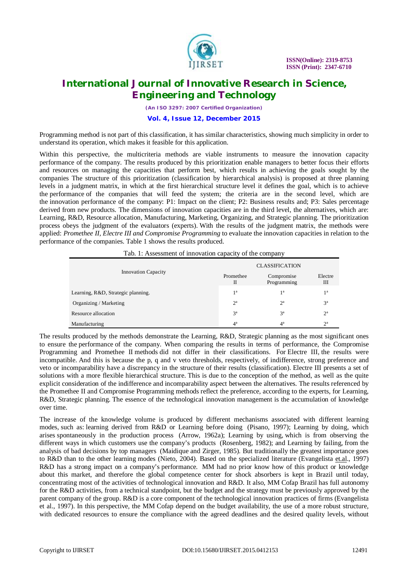

*(An ISO 3297: 2007 Certified Organization)*

**Vol. 4, Issue 12, December 2015**

Programming method is not part of this classification, it has similar characteristics, showing much simplicity in order to understand its operation, which makes it feasible for this application.

Within this perspective, the multicriteria methods are viable instruments to measure the innovation capacity performance of the company. The results produced by this prioritization enable managers to better focus their efforts and resources on managing the capacities that perform best, which results in achieving the goals sought by the companies The structure of this prioritization (classification by hierarchical analysis) is proposed at three planning levels in a judgment matrix, in which at the first hierarchical structure level it defines the goal, which is to achieve the performance of the companies that will feed the system; the criteria are in the second level, which are the innovation performance of the company: P1: Impact on the client; P2: Business results and; P3: Sales percentage derived from new products. The dimensions of innovation capacities are in the third level, the alternatives, which are: Learning, R&D, Resource allocation, Manufacturing, Marketing, Organizing, and Strategic planning. The prioritization process obeys the judgment of the evaluators (experts). With the results of the judgment matrix, the methods were applied: *Promethee II, Electre III and Compromise Programming* to evaluate the innovation capacities in relation to the performance of the companies. Table 1 shows the results produced.

| Lab. 1. Assessment of innovation capacity of the company |                       |                           |                |
|----------------------------------------------------------|-----------------------|---------------------------|----------------|
| <b>Innovation Capacity</b>                               | <b>CLASSIFICATION</b> |                           |                |
|                                                          | Promethee<br>П        | Compromise<br>Programming | Electre<br>Ш   |
| Learning, R&D, Strategic planning.                       | 1 <sup>a</sup>        | 1 <sup>a</sup>            | 1 <sup>a</sup> |
| Organizing / Marketing                                   | $2^{\rm a}$           | $2^{\rm a}$               | $3^a$          |
| Resource allocation                                      | $3^a$                 | $3^a$                     | $2^{\rm a}$    |
| Manufacturing                                            | $4^a$                 | $4^{\rm a}$               | $2^{\rm a}$    |

Tab. 1: Assessment of innovation capacity of the company

The results produced by the methods demonstrate the Learning, R&D, Strategic planning as the most significant ones to ensure the performance of the company. When comparing the results in terms of performance, the Compromise Programming and Promethee II methods did not differ in their classifications. For Electre III*,* the results were incompatible. And this is because the p, q and v veto thresholds, respectively, of indifference, strong preference and veto or incomparability have a discrepancy in the structure of their results (classification). Electre III presents a set of solutions with a more flexible hierarchical structure. This is due to the conception of the method, as well as the quite explicit consideration of the indifference and incomparability aspect between the alternatives. The results referenced by the Promethee II and Compromise Programming methods reflect the preference, according to the experts, for Learning, R&D, Strategic planning. The essence of the technological innovation management is the accumulation of knowledge over time.

The increase of the knowledge volume is produced by different mechanisms associated with different learning modes, such as: learning derived from R&D or Learning before doing (Pisano, 1997); Learning by doing, which arises spontaneously in the production process (Arrow, 1962a); Learning by using, which is from observing the different ways in which customers use the company's products (Rosenberg, 1982); and Learning by failing, from the analysis of bad decisions by top managers (Maidique and Zirger, 1985). But traditionally the greatest importance goes to R&D than to the other learning modes (Nieto, 2004). Based on the specialized literature (Evangelista et.al., 1997) R&D has a strong impact on a company's performance*.* MM had no prior know how of this product or knowledge about this market, and therefore the global competence center for shock absorbers is kept in Brazil until today, concentrating most of the activities of technological innovation and R&D. It also, MM Cofap Brazil has full autonomy for the R&D activities, from a technical standpoint, but the budget and the strategy must be previously approved by the parent company of the group. R&D is a core component of the technological innovation practices of firms (Evangelista et al., 1997). In this perspective, the MM Cofap depend on the budget availability, the use of a more robust structure, with dedicated resources to ensure the compliance with the agreed deadlines and the desired quality levels, without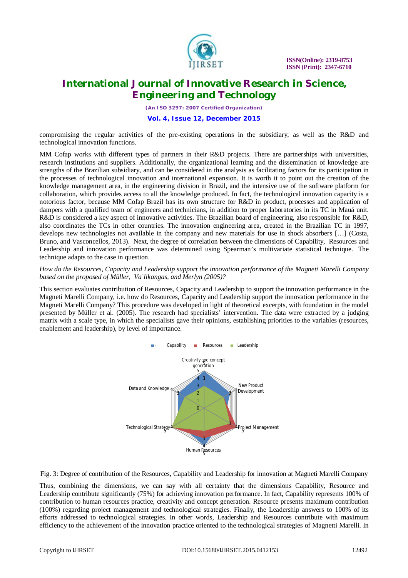

# **International Journal of Innovative Research in Science, Engineering and Technology**

*(An ISO 3297: 2007 Certified Organization)*

**Vol. 4, Issue 12, December 2015**

compromising the regular activities of the pre-existing operations in the subsidiary, as well as the R&D and technological innovation functions.

MM Cofap works with different types of partners in their R&D projects. There are partnerships with universities, research institutions and suppliers. Additionally, the organizational learning and the dissemination of knowledge are strengths of the Brazilian subsidiary, and can be considered in the analysis as facilitating factors for its participation in the processes of technological innovation and international expansion. It is worth it to point out the creation of the knowledge management area, in the engineering division in Brazil, and the intensive use of the software platform for collaboration, which provides access to all the knowledge produced. In fact, the technological innovation capacity is a notorious factor, because MM Cofap Brazil has its own structure for R&D in product, processes and application of dampers with a qualified team of engineers and technicians, in addition to proper laboratories in its TC in Mauá unit. R&D is considered a key aspect of innovative activities. The Brazilian board of engineering, also responsible for R&D, also coordinates the TCs in other countries. The innovation engineering area, created in the Brazilian TC in 1997, develops new technologies not available in the company and new materials for use in shock absorbers […] (Costa, Bruno, and Vasconcellos, 2013). Next, the degree of correlation between the dimensions of Capability, Resources and Leadership and innovation performance was determined using Spearman's multivariate statistical technique. The technique adapts to the case in question.

### *How do the Resources, Capacity and Leadership support the innovation performance of the Magneti Marelli Company based on the proposed of Müller, Va¨likangas, and Merlyn (2005)?*

This section evaluates contribution of Resources, Capacity and Leadership to support the innovation performance in the Magneti Marelli Company, i.e. how do Resources, Capacity and Leadership support the innovation performance in the Magneti Marelli Company? This procedure was developed in light of theoretical excerpts, with foundation in the model presented by Müller et al. (2005). The research had specialists' intervention. The data were extracted by a judging matrix with a scale type, in which the specialists gave their opinions, establishing priorities to the variables (resources, enablement and leadership), by level of importance.



Fig. 3: Degree of contribution of the Resources, Capability and Leadership for innovation at Magneti Marelli Company

Thus, combining the dimensions, we can say with all certainty that the dimensions Capability, Resource and Leadership contribute significantly (75%) for achieving innovation performance. In fact, Capability represents 100% of contribution to human resources practice, creativity and concept generation. Resource presents maximum contribution (100%) regarding project management and technological strategies. Finally, the Leadership answers to 100% of its efforts addressed to technological strategies. In other words, Leadership and Resources contribute with maximum efficiency to the achievement of the innovation practice oriented to the technological strategies of Magnetti Marelli. In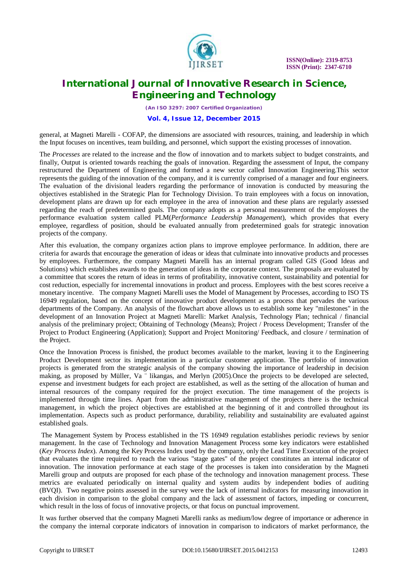

# **International Journal of Innovative Research in Science, Engineering and Technology**

*(An ISO 3297: 2007 Certified Organization)* **Vol. 4, Issue 12, December 2015**

general, at Magneti Marelli - COFAP, the dimensions are associated with resources, training, and leadership in which the Input focuses on incentives, team building, and personnel, which support the existing processes of innovation.

The *Processes* are related to the increase and the flow of innovation and to markets subject to budget constraints, and finally, Output is oriented towards reaching the goals of innovation. Regarding the assessment of Input, the company restructured the Department of Engineering and formed a new sector called Innovation Engineering.This sector represents the guiding of the innovation of the company, and it is currently comprised of a manager and four engineers. The evaluation of the divisional leaders regarding the performance of innovation is conducted by measuring the objectives established in the Strategic Plan for Technology Division. To train employees with a focus on innovation, development plans are drawn up for each employee in the area of innovation and these plans are regularly assessed regarding the reach of predetermined goals. The company adopts as a personal measurement of the employees the performance evaluation system called PLM(*Performance Leadership Management*), which provides that every employee, regardless of position, should be evaluated annually from predetermined goals for strategic innovation projects of the company.

After this evaluation, the company organizes action plans to improve employee performance. In addition, there are criteria for awards that encourage the generation of ideas or ideas that culminate into innovative products and processes by employees. Furthermore, the company Magneti Marelli has an internal program called GIS (Good Ideas and Solutions) which establishes awards to the generation of ideas in the corporate context. The proposals are evaluated by a committee that scores the return of ideas in terms of profitability, innovative content, sustainability and potential for cost reduction, especially for incremental innovations in product and process. Employees with the best scores receive a monetary incentive. The company Magneti Marelli uses the Model of Management by Processes, according to ISO TS 16949 regulation, based on the concept of innovative product development as a process that pervades the various departments of the Company. An analysis of the flowchart above allows us to establish some key "milestones" in the development of an Innovation Project at Magneti Marelli: Market Analysis, Technology Plan; technical / financial analysis of the preliminary project; Obtaining of Technology (Means); Project / Process Development; Transfer of the Project to Product Engineering (Application); Support and Project Monitoring/ Feedback, and closure / termination of the Project.

Once the Innovation Process is finished, the product becomes available to the market, leaving it to the Engineering Product Development sector its implementation in a particular customer application. The portfolio of innovation projects is generated from the strategic analysis of the company showing the importance of leadership in decision making, as proposed by Müller, Va ¨ likangas, and Merlyn (2005).Once the projects to be developed are selected, expense and investment budgets for each project are established, as well as the setting of the allocation of human and internal resources of the company required for the project execution. The time management of the projects is implemented through time lines. Apart from the administrative management of the projects there is the technical management, in which the project objectives are established at the beginning of it and controlled throughout its implementation. Aspects such as product performance, durability, reliability and sustainability are evaluated against established goals.

The Management System by Process established in the TS 16949 regulation establishes periodic reviews by senior management. In the case of Technology and Innovation Management Process some key indicators were established (*Key Process Index*). Among the Key Process Index used by the company, only the Lead Time Execution of the project that evaluates the time required to reach the various "stage gates" of the project constitutes an internal indicator of innovation. The innovation performance at each stage of the processes is taken into consideration by the Magneti Marelli group and outputs are proposed for each phase of the technology and innovation management process. These metrics are evaluated periodically on internal quality and system audits by independent bodies of auditing (BVQI). Two negative points assessed in the survey were the lack of internal indicators for measuring innovation in each division in comparison to the global company and the lack of assessment of factors, impeding or concurrent, which result in the loss of focus of innovative projects, or that focus on punctual improvement.

It was further observed that the company Magneti Marelli ranks as medium/low degree of importance or adherence in the company the internal corporate indicators of innovation in comparison to indicators of market performance, the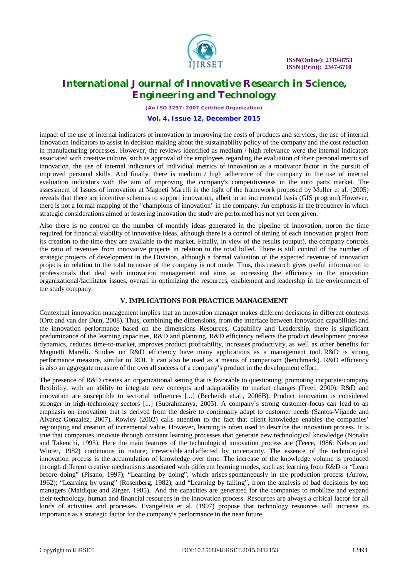

*(An ISO 3297: 2007 Certified Organization)* **Vol. 4, Issue 12, December 2015**

impact of the use of internal indicators of innovation in improving the costs of products and services, the use of internal innovation indicators to assist in decision making about the sustainability policy of the company and the cost reduction in manufacturing processes. However, the reviews identified as medium / high relevance were the internal indicators associated with creative culture, such as approval of the employees regarding the evaluation of their personal metrics of innovation, the use of internal indicators of individual metrics of innovation as a motivator factor in the pursuit of improved personal skills. And finally, there is medium / high adherence of the company in the use of internal evaluation indicators with the aim of improving the company's competitiveness in the auto parts market. The assessment of Issues of innovation at Magneti Marelli in the light of the framework proposed by Muller et al. (2005) reveals that there are incentive schemes to support innovation, albeit in an incremental basis (GIS program).However, there is not a formal mapping of the "champions of innovation" in the company. An emphasis in the frequency in which strategic considerations aimed at fostering innovation the study are performed has not yet been given.

Also there is no control on the number of monthly ideas generated in the pipeline of innovation, noron the time required for financial viability of innovative ideas, although there is a control of timing of each innovation project from its creation to the time they are available to the market. Finally, in view of the results (output), the company controls the ratio of revenues from innovative projects in relation to the total billed. There is still control of the number of strategic projects of development in the Division, although a formal valuation of the expected revenue of innovation projects in relation to the total turnover of the company is not made. Thus, this research gives useful information to professionals that deal with innovation management and aims at increasing the efficiency in the innovation organizational/facilitator issues, overall in optimizing the resources, enablement and leadership in the environment of the study company.

### **V. IMPLICATIONS FOR PRACTICE MANAGEMENT**

Contextual innovation management implies that an innovation manager makes different decisions in different contexts (Ortt and van der Duin, 2008). Thus, combining the dimensions, from the interface between innovation capabilities and the innovation performance based on the dimensions Resources, Capability and Leadership, there is significant predominance of the learning capacities, R&D and planning. R&D efficiency reflects the product development process dynamics, reduces time-to-market, improves product profitability, increases productivity, as well as other benefits for Magnetti Marelli. Studies on R&D efficiency have many applications as a management tool. R&D is strong performance measure, similar to ROI. It can also be used as a means of comparison (benchmark). R&D efficiency is also an aggregate measure of the overall success of a company's product in the development effort.

The presence of R&D creates an organizational setting that is favorable to questioning, promoting corporate/company flexibility, with an ability to integrate new concepts and adaptability to market changes (Freel, 2000). R&D and innovation are susceptible to sectorial influences [...] (Becheikh et.al., 2006B). Product innovation is considered stronger in high-technology sectors [...] (Subrahmanya, 2005). A company's strong customer-focus can lead to an emphasis on innovation that is derived from the desire to continually adapt to customer needs (Santos-Vijande and Alvarez-Gonzalez, 2007). Rowley (2002) calls attention to the fact that client knowledge enables the companies' regrouping and creation of incremental value. However, learning is often used to describe the innovation process. It is true that companies innovate through constant learning processes that generate new technological knowledge (Nonaka and Takeuchi, 1995). Here the main features of the technological innovation process are (Teece, 1986; Nelson and Winter, 1982) continuous in nature; irreversible and affected by uncertainty. The essence of the technological innovation process is the accumulation of knowledge over time. The increase of the knowledge volume is produced through different creative mechanisms associated with different learning modes, such as: learning from R&D or "Learn before doing" (Pisano, 1997); "Learning by doing", which arises spontaneously in the production process (Arrow, 1962); "Learning by using" (Rosenberg, 1982); and "Learning by failing", from the analysis of bad decisions by top managers (Maidique and Zirger, 1985). And the capacities are generated for the companies to mobilize and expand their technology, human and financial resources in the innovation process. Resources are always a critical factor for all kinds of activities and processes. Evangelista et al. (1997) propose that technology resources will increase its importance as a strategic factor for the company's performance in the near future.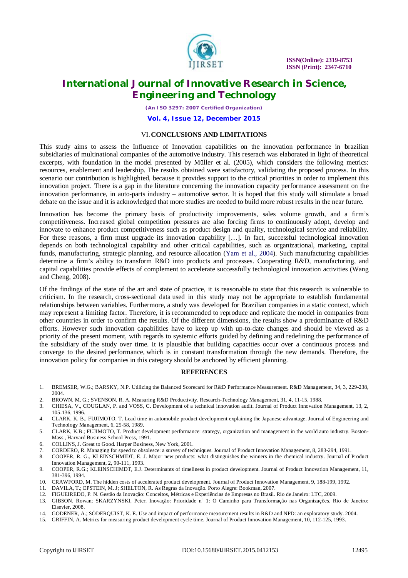

*(An ISO 3297: 2007 Certified Organization)* **Vol. 4, Issue 12, December 2015**

### VI.**CONCLUSIONS AND LIMITATIONS**

This study aims to assess the Influence of Innovation capabilities on the innovation performance in **b**razilian subsidiaries of multinational companies of the automotive industry. This reserach was elaborated in light of theoretical excerpts, with foundation in the model presented by Müller et al. (2005), which considers the following metrics: resources, enablement and leadership. The results obtained were satisfactory, validating the proposed process. In this scenario our contribution is highlighted, because it provides support to the critical priorities in order to implement this innovation project. There is a gap in the literature concerning the innovation capacity performance assessment on the innovation performance, in auto-parts industry – automotive sector. It is hoped that this study will stimulate a broad debate on the issue and it is acknowledged that more studies are needed to build more robust results in the near future.

Innovation has become the primary basis of productivity improvements, sales volume growth, and a firm's competitiveness. Increased global competition pressures are also forcing firms to continuously adopt, develop and innovate to enhance product competitiveness such as product design and quality, technological service and reliability. For these reasons, a firm must upgrade its innovation capability […]. In fact, successful technological innovation depends on both technological capability and other critical capabilities, such as organizational, marketing, capital funds, manufacturing, strategic planning, and resource allocation (Yam et al., 2004). Such manufacturing capabilities determine a firm's ability to transform R&D into products and processes. Cooperating R&D, manufacturing, and capital capabilities provide effects of complement to accelerate successfully technological innovation activities (Wang and Cheng, 2008).

Of the findings of the state of the art and state of practice, it is reasonable to state that this research is vulnerable to criticism. In the research, cross-sectional data used in this study may not be appropriate to establish fundamental relationships between variables. Furthermore, a study was developed for Brazilian companies in a static context, which may represent a limiting factor. Therefore, it is recommended to reproduce and replicate the model in companies from other countries in order to confirm the results. Of the different dimensions, the results show a predominance of R&D efforts. However such innovation capabilities have to keep up with up-to-date changes and should be viewed as a priority of the present moment, with regards to systemic efforts guided by defining and redefining the performance of the subsidiary of the study over time. It is plausible that building capacities occur over a continuous process and converge to the desired performance*,* which is in constant transformation through the new demands. Therefore, the innovation policy for companies in this category should be anchored by efficient planning.

### **REFERENCES**

- 1. BREMSER, W.G.; BARSKY, N.P. Utilizing the Balanced Scorecard for R&D Performance Measurement. R&D Management, 34, 3, 229-238, 2004.
- 2. BROWN, M. G.; SVENSON, R. A. Measuring R&D Productivity. Research-Technology Management, 31, 4, 11-15, 1988.
- 3. CHIESA, V., COUGLAN, P. and VOSS, C. Development of a technical innovation audit. Journal of Product Innovation Management, 13, 2, 105-136, 1996.
- 4. CLARK, K. B., FUJIMOTO, T. Lead time in automobile product development explaining the Japanese advantage. Journal of Engineering and Technology Management, 6, 25-58, 1989.
- 5. CLARK, K.B.; FUJIMOTO, T. Product development performance: strategy, organization and management in the world auto industry. Boston-Mass., Harvard Business School Press, 1991.
- 6. COLLINS, J. Great to Good. Harper Business, New York, 2001.
- 7. CORDERO, R. Managing for speed to obsolesce: a survey of techniques. Journal of Product Innovation Management, 8, 283-294, 1991.
- 8. COOPER, R. G., KLEINSCHMIDT, E. J. Major new products: what distinguishes the winners in the chemical industry. Journal of Product Innovation Management, 2, 90-111, 1993.
- 9. COOPER, R.G.; KLEINSCHIMDT, E.J. Determinants of timeliness in product development. Journal of Product Innovation Management, 11, 381-396, 1994.
- 10. CRAWFORD, M. The hidden costs of accelerated product development. Journal of Product Innovation Management, 9, 188-199, 1992.
- 11. DAVILA, T.; EPSTEIN, M. J; SHELTON, R. As Regras da Inovação. Porto Alegre: Bookman, 2007.
- 12. FIGUEIREDO, P. N. Gestão da Inovação: Conceitos, Métricas e Experiências de Empresas no Brasil. Rio de Janeiro: LTC, 2009.
- 13. GIBSON, Rowan; SKARZYNSKI, Peter. Inovação: Prioridade nº 1: O Caminho para Transformação nas Organizações. Rio de Janeiro: Elsevier, 2008.
- 14. GODENER, A.; SÖDERQUIST, K. E. Use and impact of performance measurement results in R&D and NPD: an exploratory study. 2004.
- 15. GRIFFIN, A. Metrics for measuring product development cycle time. Journal of Product Innovation Management, 10, 112-125, 1993.